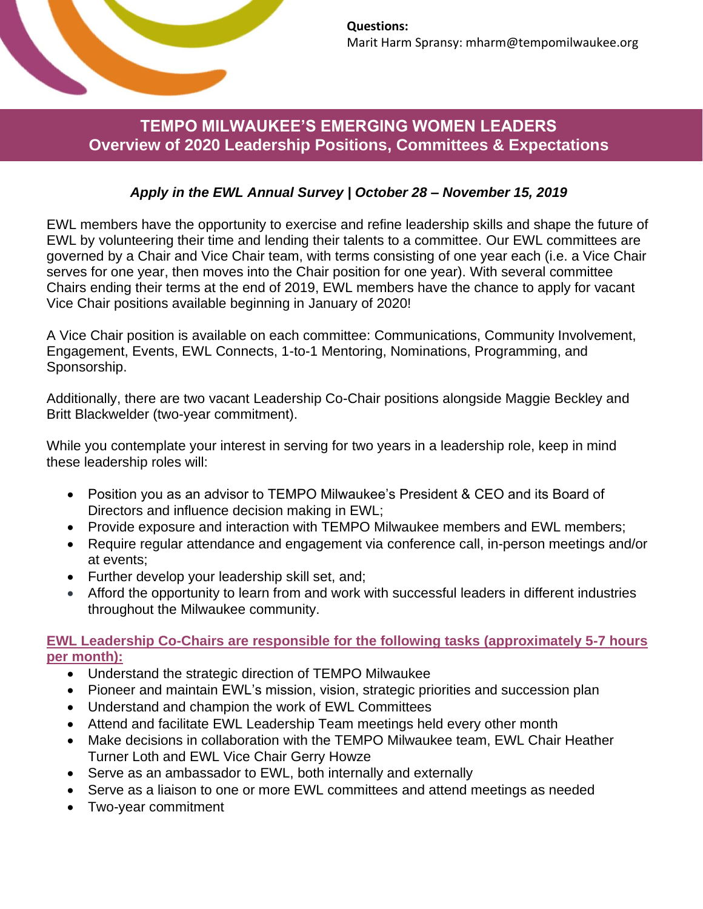

# **TEMPO MILWAUKEE'S EMERGING WOMEN LEADERS Overview of 2020 Leadership Positions, Committees & Expectations**

## *Apply in the EWL Annual Survey | October 28 – November 15, 2019*

EWL members have the opportunity to exercise and refine leadership skills and shape the future of EWL by volunteering their time and lending their talents to a committee. Our EWL committees are governed by a Chair and Vice Chair team, with terms consisting of one year each (i.e. a Vice Chair serves for one year, then moves into the Chair position for one year). With several committee Chairs ending their terms at the end of 2019, EWL members have the chance to apply for vacant Vice Chair positions available beginning in January of 2020!

A Vice Chair position is available on each committee: Communications, Community Involvement, Engagement, Events, EWL Connects, 1-to-1 Mentoring, Nominations, Programming, and Sponsorship.

Additionally, there are two vacant Leadership Co-Chair positions alongside Maggie Beckley and Britt Blackwelder (two-year commitment).

While you contemplate your interest in serving for two years in a leadership role, keep in mind these leadership roles will:

- Position you as an advisor to TEMPO Milwaukee's President & CEO and its Board of Directors and influence decision making in EWL;
- Provide exposure and interaction with TEMPO Milwaukee members and EWL members;
- Require regular attendance and engagement via conference call, in-person meetings and/or at events;
- Further develop your leadership skill set, and;
- Afford the opportunity to learn from and work with successful leaders in different industries throughout the Milwaukee community.

**EWL Leadership Co-Chairs are responsible for the following tasks (approximately 5-7 hours per month):**

- Understand the strategic direction of TEMPO Milwaukee
- Pioneer and maintain EWL's mission, vision, strategic priorities and succession plan
- Understand and champion the work of EWL Committees
- Attend and facilitate EWL Leadership Team meetings held every other month
- Make decisions in collaboration with the TEMPO Milwaukee team, EWL Chair Heather Turner Loth and EWL Vice Chair Gerry Howze
- Serve as an ambassador to EWL, both internally and externally
- Serve as a liaison to one or more EWL committees and attend meetings as needed
- Two-year commitment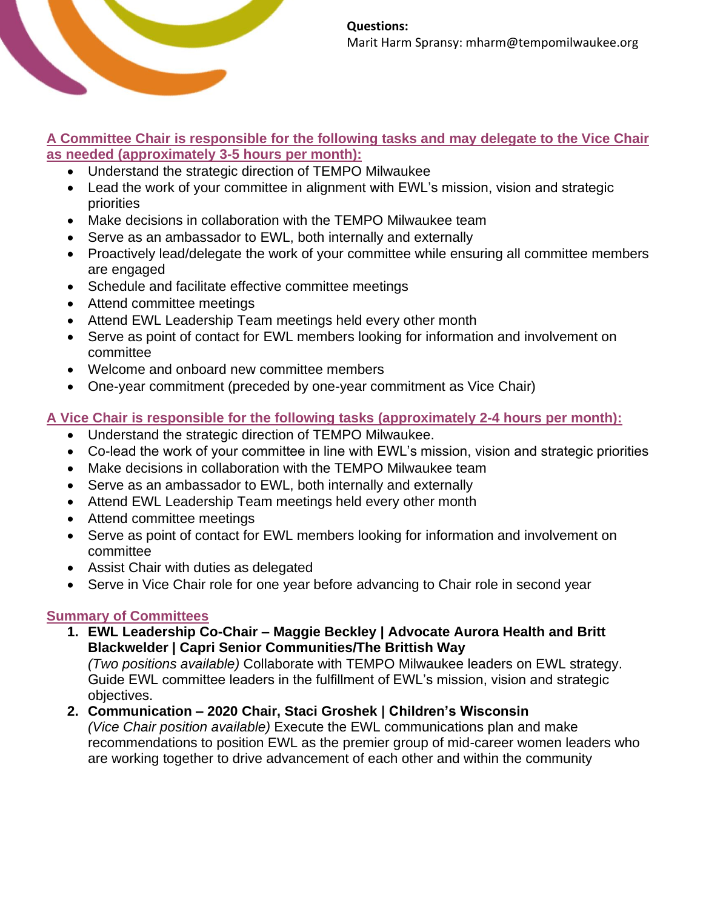

#### **A Committee Chair is responsible for the following tasks and may delegate to the Vice Chair as needed (approximately 3-5 hours per month):**

- Understand the strategic direction of TEMPO Milwaukee
- Lead the work of your committee in alignment with EWL's mission, vision and strategic priorities
- Make decisions in collaboration with the TEMPO Milwaukee team
- Serve as an ambassador to EWL, both internally and externally
- Proactively lead/delegate the work of your committee while ensuring all committee members are engaged
- Schedule and facilitate effective committee meetings
- Attend committee meetings
- Attend EWL Leadership Team meetings held every other month
- Serve as point of contact for EWL members looking for information and involvement on committee
- Welcome and onboard new committee members
- One-year commitment (preceded by one-year commitment as Vice Chair)

# **A Vice Chair is responsible for the following tasks (approximately 2-4 hours per month):**

- Understand the strategic direction of TEMPO Milwaukee.
- Co-lead the work of your committee in line with EWL's mission, vision and strategic priorities
- Make decisions in collaboration with the TEMPO Milwaukee team
- Serve as an ambassador to EWL, both internally and externally
- Attend EWL Leadership Team meetings held every other month
- Attend committee meetings
- Serve as point of contact for EWL members looking for information and involvement on committee
- Assist Chair with duties as delegated
- Serve in Vice Chair role for one year before advancing to Chair role in second year

## **Summary of Committees**

**1. EWL Leadership Co-Chair – Maggie Beckley | Advocate Aurora Health and Britt Blackwelder | Capri Senior Communities/The Brittish Way**

*(Two positions available)* Collaborate with TEMPO Milwaukee leaders on EWL strategy. Guide EWL committee leaders in the fulfillment of EWL's mission, vision and strategic objectives.

**2. Communication – 2020 Chair, Staci Groshek | Children's Wisconsin**

*(Vice Chair position available)* Execute the EWL communications plan and make recommendations to position EWL as the premier group of mid-career women leaders who are working together to drive advancement of each other and within the community